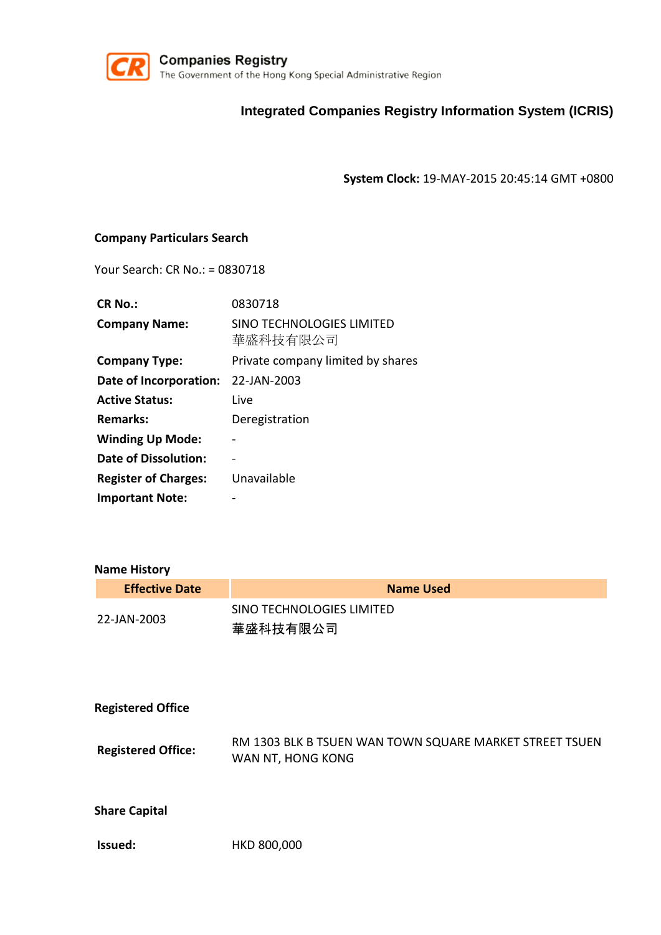

## **Integrated Companies Registry Information System (ICRIS)**

**System Clock:** 19-MAY-2015 20:45:14 GMT +0800

### **Company Particulars Search**

Your Search: CR No.: = 0830718

| <b>CR No.:</b>              | 0830718                                      |
|-----------------------------|----------------------------------------------|
| <b>Company Name:</b>        | <b>SINO TECHNOLOGIES LIMITED</b><br>華盛科技有限公司 |
| <b>Company Type:</b>        | Private company limited by shares            |
| Date of Incorporation:      | 22-JAN-2003                                  |
| <b>Active Status:</b>       | Live                                         |
| <b>Remarks:</b>             | Deregistration                               |
| <b>Winding Up Mode:</b>     |                                              |
| Date of Dissolution:        |                                              |
| <b>Register of Charges:</b> | Unavailable                                  |
| <b>Important Note:</b>      |                                              |

#### **Name History**

| <b>Effective Date</b> | Name Used                             |
|-----------------------|---------------------------------------|
| 22-JAN-2003           | SINO TECHNOLOGIES LIMITED<br>華盛科技有限公司 |

| <b>Registered Office</b> |  |
|--------------------------|--|
|--------------------------|--|

RM 1303 BLK B TSUEN WAN TOWN SQUARE MARKET STREET TSUEN Registered Office: WAN NT, HONG KONG

**Share Capital**

**Issued:** HKD 800,000